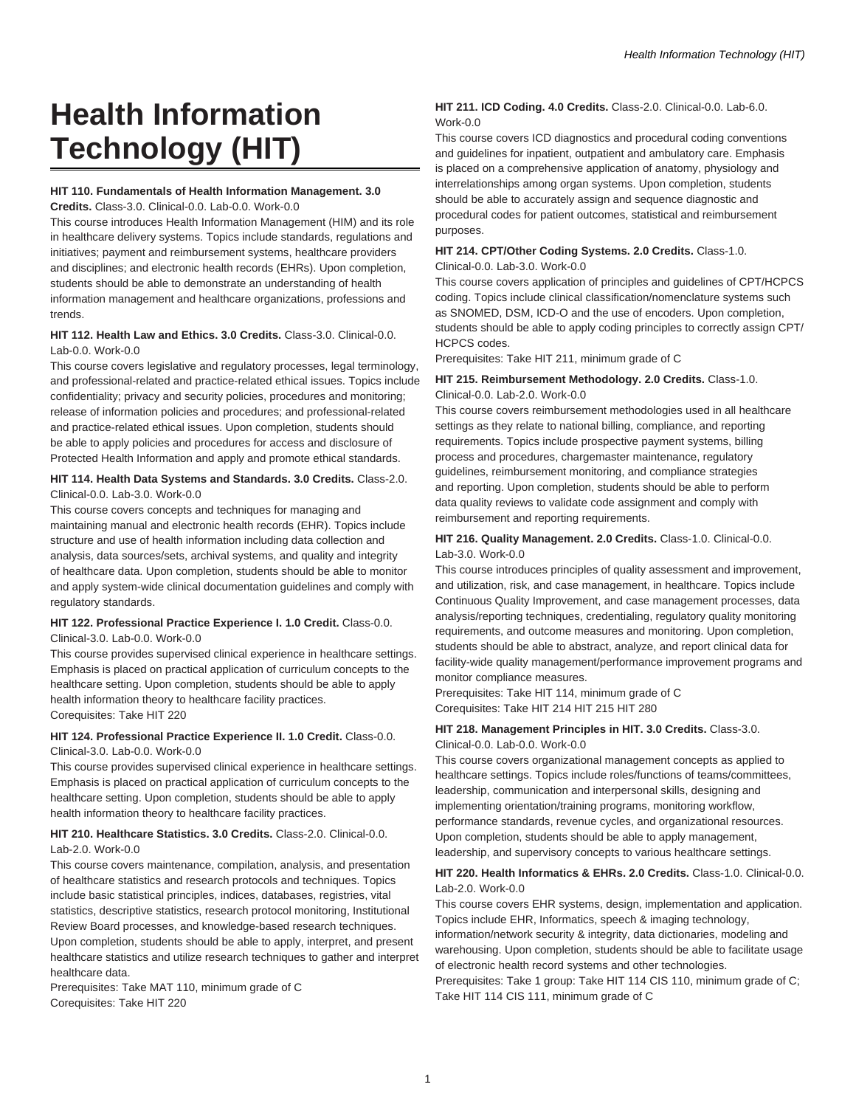# **Health Information Technology (HIT)**

# **HIT 110. Fundamentals of Health Information Management. 3.0**

**Credits.** Class-3.0. Clinical-0.0. Lab-0.0. Work-0.0

This course introduces Health Information Management (HIM) and its role in healthcare delivery systems. Topics include standards, regulations and initiatives; payment and reimbursement systems, healthcare providers and disciplines; and electronic health records (EHRs). Upon completion, students should be able to demonstrate an understanding of health information management and healthcare organizations, professions and trends.

# **HIT 112. Health Law and Ethics. 3.0 Credits.** Class-3.0. Clinical-0.0. Lab-0.0. Work-0.0

This course covers legislative and regulatory processes, legal terminology, and professional-related and practice-related ethical issues. Topics include confidentiality; privacy and security policies, procedures and monitoring; release of information policies and procedures; and professional-related and practice-related ethical issues. Upon completion, students should be able to apply policies and procedures for access and disclosure of Protected Health Information and apply and promote ethical standards.

#### **HIT 114. Health Data Systems and Standards. 3.0 Credits.** Class-2.0. Clinical-0.0. Lab-3.0. Work-0.0

This course covers concepts and techniques for managing and maintaining manual and electronic health records (EHR). Topics include structure and use of health information including data collection and analysis, data sources/sets, archival systems, and quality and integrity of healthcare data. Upon completion, students should be able to monitor and apply system-wide clinical documentation guidelines and comply with regulatory standards.

#### **HIT 122. Professional Practice Experience I. 1.0 Credit.** Class-0.0. Clinical-3.0. Lab-0.0. Work-0.0

This course provides supervised clinical experience in healthcare settings. Emphasis is placed on practical application of curriculum concepts to the healthcare setting. Upon completion, students should be able to apply health information theory to healthcare facility practices. Corequisites: Take HIT 220

### **HIT 124. Professional Practice Experience II. 1.0 Credit.** Class-0.0. Clinical-3.0. Lab-0.0. Work-0.0

This course provides supervised clinical experience in healthcare settings. Emphasis is placed on practical application of curriculum concepts to the healthcare setting. Upon completion, students should be able to apply health information theory to healthcare facility practices.

# **HIT 210. Healthcare Statistics. 3.0 Credits.** Class-2.0. Clinical-0.0. Lab-2.0. Work-0.0

This course covers maintenance, compilation, analysis, and presentation of healthcare statistics and research protocols and techniques. Topics include basic statistical principles, indices, databases, registries, vital statistics, descriptive statistics, research protocol monitoring, Institutional Review Board processes, and knowledge-based research techniques. Upon completion, students should be able to apply, interpret, and present healthcare statistics and utilize research techniques to gather and interpret healthcare data.

Prerequisites: Take MAT 110, minimum grade of C Corequisites: Take HIT 220

# **HIT 211. ICD Coding. 4.0 Credits.** Class-2.0. Clinical-0.0. Lab-6.0. Work-0.0

This course covers ICD diagnostics and procedural coding conventions and guidelines for inpatient, outpatient and ambulatory care. Emphasis is placed on a comprehensive application of anatomy, physiology and interrelationships among organ systems. Upon completion, students should be able to accurately assign and sequence diagnostic and procedural codes for patient outcomes, statistical and reimbursement purposes.

# **HIT 214. CPT/Other Coding Systems. 2.0 Credits.** Class-1.0.

Clinical-0.0. Lab-3.0. Work-0.0

This course covers application of principles and guidelines of CPT/HCPCS coding. Topics include clinical classification/nomenclature systems such as SNOMED, DSM, ICD-O and the use of encoders. Upon completion, students should be able to apply coding principles to correctly assign CPT/ HCPCS codes.

Prerequisites: Take HIT 211, minimum grade of C

# **HIT 215. Reimbursement Methodology. 2.0 Credits.** Class-1.0. Clinical-0.0. Lab-2.0. Work-0.0

This course covers reimbursement methodologies used in all healthcare settings as they relate to national billing, compliance, and reporting requirements. Topics include prospective payment systems, billing process and procedures, chargemaster maintenance, regulatory guidelines, reimbursement monitoring, and compliance strategies and reporting. Upon completion, students should be able to perform data quality reviews to validate code assignment and comply with reimbursement and reporting requirements.

# **HIT 216. Quality Management. 2.0 Credits.** Class-1.0. Clinical-0.0. Lab-3.0. Work-0.0

This course introduces principles of quality assessment and improvement, and utilization, risk, and case management, in healthcare. Topics include Continuous Quality Improvement, and case management processes, data analysis/reporting techniques, credentialing, regulatory quality monitoring requirements, and outcome measures and monitoring. Upon completion, students should be able to abstract, analyze, and report clinical data for facility-wide quality management/performance improvement programs and monitor compliance measures.

Prerequisites: Take HIT 114, minimum grade of C Corequisites: Take HIT 214 HIT 215 HIT 280

# **HIT 218. Management Principles in HIT. 3.0 Credits.** Class-3.0. Clinical-0.0. Lab-0.0. Work-0.0

This course covers organizational management concepts as applied to healthcare settings. Topics include roles/functions of teams/committees, leadership, communication and interpersonal skills, designing and implementing orientation/training programs, monitoring workflow, performance standards, revenue cycles, and organizational resources. Upon completion, students should be able to apply management, leadership, and supervisory concepts to various healthcare settings.

# **HIT 220. Health Informatics & EHRs. 2.0 Credits.** Class-1.0. Clinical-0.0. Lab-2.0. Work-0.0

This course covers EHR systems, design, implementation and application. Topics include EHR, Informatics, speech & imaging technology, information/network security & integrity, data dictionaries, modeling and warehousing. Upon completion, students should be able to facilitate usage of electronic health record systems and other technologies. Prerequisites: Take 1 group: Take HIT 114 CIS 110, minimum grade of C; Take HIT 114 CIS 111, minimum grade of C